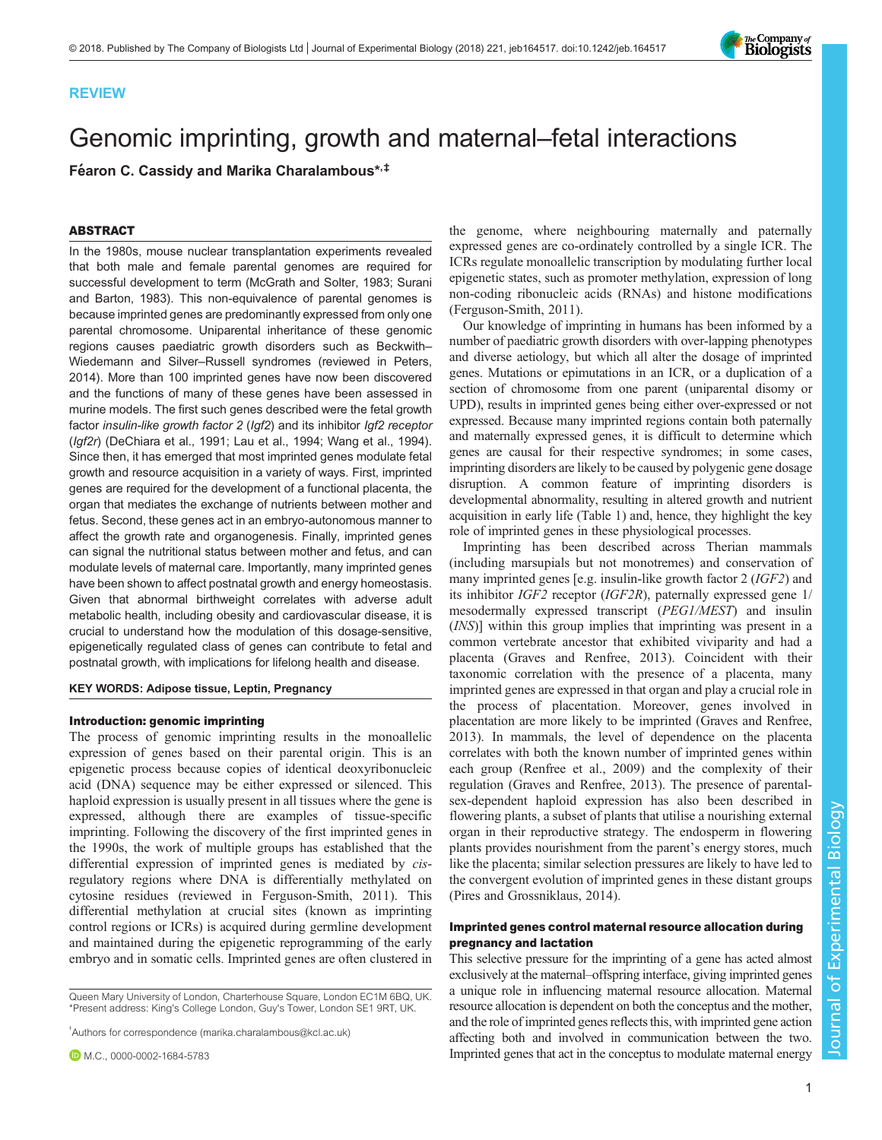



# Genomic imprinting, growth and maternal–fetal interactions

Féaron C. Cassidy and Marika Charalambous\*,<sup>‡</sup>

# ABSTRACT

In the 1980s, mouse nuclear transplantation experiments revealed that both male and female parental genomes are required for successful development to term [\(McGrath and Solter, 1983;](#page-7-0) [Surani](#page-8-0) [and Barton, 1983\)](#page-8-0). This non-equivalence of parental genomes is because imprinted genes are predominantly expressed from only one parental chromosome. Uniparental inheritance of these genomic regions causes paediatric growth disorders such as Beckwith– Wiedemann and Silver–Russell syndromes (reviewed in [Peters,](#page-7-0) [2014\)](#page-7-0). More than 100 imprinted genes have now been discovered and the functions of many of these genes have been assessed in murine models. The first such genes described were the fetal growth factor insulin-like growth factor 2 (Igf2) and its inhibitor Igf2 receptor (Igf2r) ([DeChiara et al., 1991](#page-7-0); [Lau et al., 1994](#page-7-0); [Wang et al., 1994\)](#page-8-0). Since then, it has emerged that most imprinted genes modulate fetal growth and resource acquisition in a variety of ways. First, imprinted genes are required for the development of a functional placenta, the organ that mediates the exchange of nutrients between mother and fetus. Second, these genes act in an embryo-autonomous manner to affect the growth rate and organogenesis. Finally, imprinted genes can signal the nutritional status between mother and fetus, and can modulate levels of maternal care. Importantly, many imprinted genes have been shown to affect postnatal growth and energy homeostasis. Given that abnormal birthweight correlates with adverse adult metabolic health, including obesity and cardiovascular disease, it is crucial to understand how the modulation of this dosage-sensitive, epigenetically regulated class of genes can contribute to fetal and postnatal growth, with implications for lifelong health and disease.

## KEY WORDS: Adipose tissue, Leptin, Pregnancy

# Introduction: genomic imprinting

The process of genomic imprinting results in the monoallelic expression of genes based on their parental origin. This is an epigenetic process because copies of identical deoxyribonucleic acid (DNA) sequence may be either expressed or silenced. This haploid expression is usually present in all tissues where the gene is expressed, although there are examples of tissue-specific imprinting. Following the discovery of the first imprinted genes in the 1990s, the work of multiple groups has established that the differential expression of imprinted genes is mediated by cisregulatory regions where DNA is differentially methylated on cytosine residues (reviewed in [Ferguson-Smith, 2011\)](#page-7-0). This differential methylation at crucial sites (known as imprinting control regions or ICRs) is acquired during germline development and maintained during the epigenetic reprogramming of the early embryo and in somatic cells. Imprinted genes are often clustered in

Queen Mary University of London, Charterhouse Square, London EC1M 6BQ, UK. \*Present address: King's College London, Guy's Tower, London SE1 9RT, UK.

‡ Authors for correspondence [\(marika.charalambous@kcl.ac.uk](mailto:marika.charalambous@kcl.ac.uk))

the genome, where neighbouring maternally and paternally expressed genes are co-ordinately controlled by a single ICR. The ICRs regulate monoallelic transcription by modulating further local epigenetic states, such as promoter methylation, expression of long non-coding ribonucleic acids (RNAs) and histone modifications [\(Ferguson-Smith, 2011\)](#page-7-0).

Our knowledge of imprinting in humans has been informed by a number of paediatric growth disorders with over-lapping phenotypes and diverse aetiology, but which all alter the dosage of imprinted genes. Mutations or epimutations in an ICR, or a duplication of a section of chromosome from one parent (uniparental disomy or UPD), results in imprinted genes being either over-expressed or not expressed. Because many imprinted regions contain both paternally and maternally expressed genes, it is difficult to determine which genes are causal for their respective syndromes; in some cases, imprinting disorders are likely to be caused by polygenic gene dosage disruption. A common feature of imprinting disorders is developmental abnormality, resulting in altered growth and nutrient acquisition in early life ([Table 1\)](#page-1-0) and, hence, they highlight the key role of imprinted genes in these physiological processes.

Imprinting has been described across Therian mammals (including marsupials but not monotremes) and conservation of many imprinted genes [e.g. insulin-like growth factor 2 (IGF2) and its inhibitor IGF2 receptor (IGF2R), paternally expressed gene 1/ mesodermally expressed transcript (PEG1/MEST) and insulin (INS)] within this group implies that imprinting was present in a common vertebrate ancestor that exhibited viviparity and had a placenta ([Graves and Renfree, 2013](#page-7-0)). Coincident with their taxonomic correlation with the presence of a placenta, many imprinted genes are expressed in that organ and play a crucial role in the process of placentation. Moreover, genes involved in placentation are more likely to be imprinted [\(Graves and Renfree,](#page-7-0) [2013\)](#page-7-0). In mammals, the level of dependence on the placenta correlates with both the known number of imprinted genes within each group ([Renfree et al., 2009\)](#page-8-0) and the complexity of their regulation [\(Graves and Renfree, 2013\)](#page-7-0). The presence of parentalsex-dependent haploid expression has also been described in flowering plants, a subset of plants that utilise a nourishing external organ in their reproductive strategy. The endosperm in flowering plants provides nourishment from the parent's energy stores, much like the placenta; similar selection pressures are likely to have led to the convergent evolution of imprinted genes in these distant groups [\(Pires and Grossniklaus, 2014\)](#page-7-0).

# Imprinted genes control maternal resource allocation during pregnancy and lactation

This selective pressure for the imprinting of a gene has acted almost exclusively at the maternal–offspring interface, giving imprinted genes a unique role in influencing maternal resource allocation. Maternal resource allocation is dependent on both the conceptus and the mother, and the role of imprinted genes reflects this, with imprinted gene action affecting both and involved in communication between the two. Imprinted genes that act in the conceptus to modulate maternal energy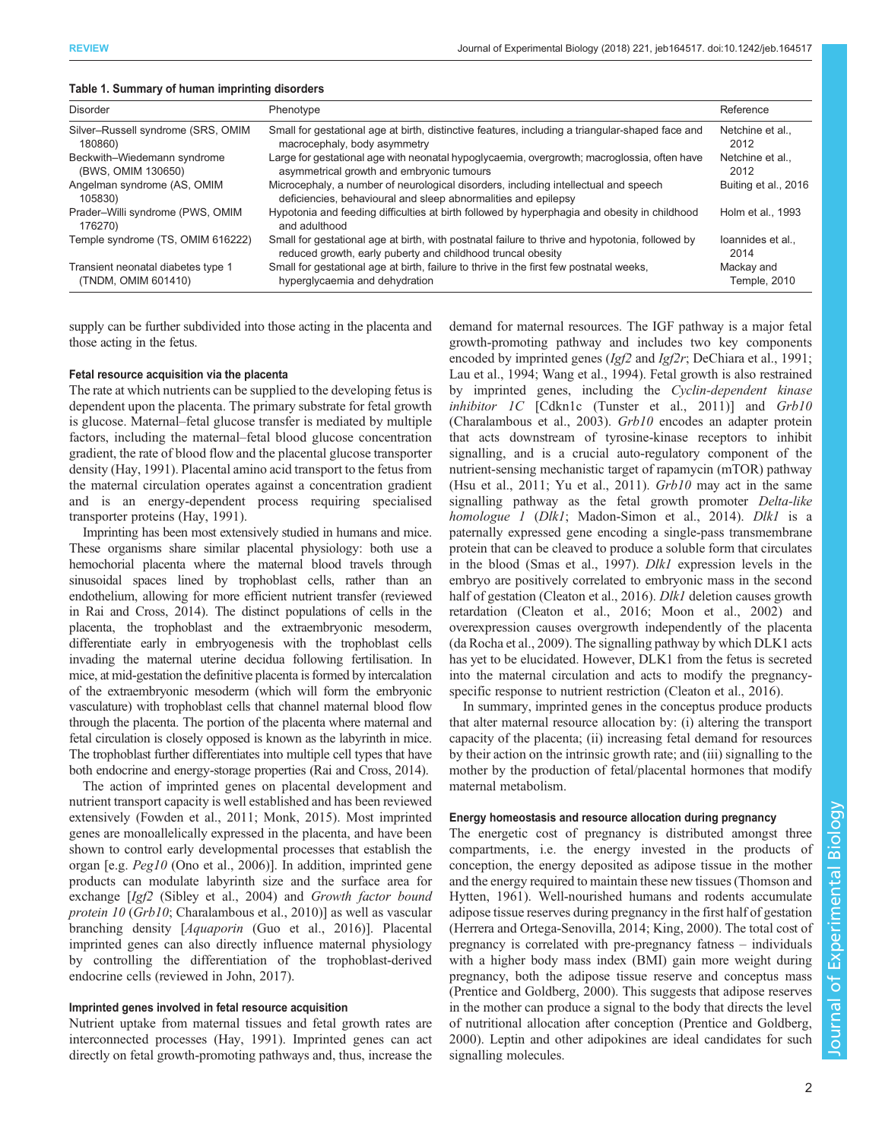| Disorder                                                  | Phenotype                                                                                                                                                      | Reference                  |
|-----------------------------------------------------------|----------------------------------------------------------------------------------------------------------------------------------------------------------------|----------------------------|
| Silver-Russell syndrome (SRS, OMIM<br>180860)             | Small for gestational age at birth, distinctive features, including a triangular-shaped face and<br>macrocephaly, body asymmetry                               | Netchine et al<br>2012     |
| Beckwith-Wiedemann syndrome<br>(BWS, OMIM 130650)         | Large for gestational age with neonatal hypoglycaemia, overgrowth; macroglossia, often have<br>asymmetrical growth and embryonic tumours                       | Netchine et al<br>2012     |
| Angelman syndrome (AS, OMIM<br>105830)                    | Microcephaly, a number of neurological disorders, including intellectual and speech<br>deficiencies, behavioural and sleep abnormalities and epilepsy          | Buiting et al., 2016       |
| Prader-Willi syndrome (PWS, OMIM<br>176270)               | Hypotonia and feeding difficulties at birth followed by hyperphagia and obesity in childhood<br>and adulthood                                                  | Holm et al., 1993          |
| Temple syndrome (TS, OMIM 616222)                         | Small for gestational age at birth, with postnatal failure to thrive and hypotonia, followed by<br>reduced growth, early puberty and childhood truncal obesity | loannides et al<br>2014    |
| Transient neonatal diabetes type 1<br>(TNDM, OMIM 601410) | Small for gestational age at birth, failure to thrive in the first few postnatal weeks,<br>hyperglycaemia and dehydration                                      | Mackay and<br>Temple, 2010 |

## <span id="page-1-0"></span>Table 1. Summary of human imprinting disorders

supply can be further subdivided into those acting in the placenta and those acting in the fetus.

# Fetal resource acquisition via the placenta

The rate at which nutrients can be supplied to the developing fetus is dependent upon the placenta. The primary substrate for fetal growth is glucose. Maternal–fetal glucose transfer is mediated by multiple factors, including the maternal–fetal blood glucose concentration gradient, the rate of blood flow and the placental glucose transporter density [\(Hay, 1991\)](#page-7-0). Placental amino acid transport to the fetus from the maternal circulation operates against a concentration gradient and is an energy-dependent process requiring specialised transporter proteins ([Hay, 1991](#page-7-0)).

Imprinting has been most extensively studied in humans and mice. These organisms share similar placental physiology: both use a hemochorial placenta where the maternal blood travels through sinusoidal spaces lined by trophoblast cells, rather than an endothelium, allowing for more efficient nutrient transfer (reviewed in [Rai and Cross, 2014\)](#page-7-0). The distinct populations of cells in the placenta, the trophoblast and the extraembryonic mesoderm, differentiate early in embryogenesis with the trophoblast cells invading the maternal uterine decidua following fertilisation. In mice, at mid-gestation the definitive placenta is formed by intercalation of the extraembryonic mesoderm (which will form the embryonic vasculature) with trophoblast cells that channel maternal blood flow through the placenta. The portion of the placenta where maternal and fetal circulation is closely opposed is known as the labyrinth in mice. The trophoblast further differentiates into multiple cell types that have both endocrine and energy-storage properties [\(Rai and Cross, 2014\)](#page-7-0).

The action of imprinted genes on placental development and nutrient transport capacity is well established and has been reviewed extensively [\(Fowden et al., 2011; Monk, 2015\)](#page-7-0). Most imprinted genes are monoallelically expressed in the placenta, and have been shown to control early developmental processes that establish the organ [e.g. Peg10 [\(Ono et al., 2006](#page-7-0))]. In addition, imprinted gene products can modulate labyrinth size and the surface area for exchange [Igf2 [\(Sibley et al., 2004\)](#page-8-0) and Growth factor bound protein 10 (Grb10; [Charalambous et al., 2010](#page-6-0))] as well as vascular branching density [Aquaporin [\(Guo et al., 2016\)](#page-7-0)]. Placental imprinted genes can also directly influence maternal physiology by controlling the differentiation of the trophoblast-derived endocrine cells (reviewed in [John, 2017](#page-7-0)).

# Imprinted genes involved in fetal resource acquisition

Nutrient uptake from maternal tissues and fetal growth rates are interconnected processes ([Hay, 1991](#page-7-0)). Imprinted genes can act directly on fetal growth-promoting pathways and, thus, increase the demand for maternal resources. The IGF pathway is a major fetal growth-promoting pathway and includes two key components encoded by imprinted genes (Igf2 and Igf2r; [DeChiara et al., 1991](#page-7-0); [Lau et al., 1994](#page-7-0); [Wang et al., 1994](#page-8-0)). Fetal growth is also restrained by imprinted genes, including the Cyclin-dependent kinase inhibitor 1C [Cdkn1c [\(Tunster et al., 2011\)](#page-8-0)] and Grb10 [\(Charalambous et al., 2003](#page-6-0)). Grb10 encodes an adapter protein that acts downstream of tyrosine-kinase receptors to inhibit signalling, and is a crucial auto-regulatory component of the nutrient-sensing mechanistic target of rapamycin (mTOR) pathway [\(Hsu et al., 2011](#page-7-0); [Yu et al., 2011\)](#page-8-0).  $Grb10$  may act in the same signalling pathway as the fetal growth promoter Delta-like homologue 1 (Dlk1; [Madon-Simon et al., 2014](#page-7-0)). Dlk1 is a paternally expressed gene encoding a single-pass transmembrane protein that can be cleaved to produce a soluble form that circulates in the blood [\(Smas et al., 1997\)](#page-8-0). Dlk1 expression levels in the embryo are positively correlated to embryonic mass in the second half of gestation ([Cleaton et al., 2016](#page-6-0)). *Dlk1* deletion causes growth retardation [\(Cleaton et al., 2016;](#page-6-0) [Moon et al., 2002](#page-7-0)) and overexpression causes overgrowth independently of the placenta [\(da Rocha et al., 2009](#page-7-0)). The signalling pathway by which DLK1 acts has yet to be elucidated. However, DLK1 from the fetus is secreted into the maternal circulation and acts to modify the pregnancyspecific response to nutrient restriction [\(Cleaton et al., 2016\)](#page-6-0).

In summary, imprinted genes in the conceptus produce products that alter maternal resource allocation by: (i) altering the transport capacity of the placenta; (ii) increasing fetal demand for resources by their action on the intrinsic growth rate; and (iii) signalling to the mother by the production of fetal/placental hormones that modify maternal metabolism.

# Energy homeostasis and resource allocation during pregnancy

The energetic cost of pregnancy is distributed amongst three compartments, i.e. the energy invested in the products of conception, the energy deposited as adipose tissue in the mother and the energy required to maintain these new tissues ([Thomson and](#page-8-0) [Hytten, 1961\)](#page-8-0). Well-nourished humans and rodents accumulate adipose tissue reserves during pregnancy in the first half of gestation [\(Herrera and Ortega-Senovilla, 2014; King, 2000\)](#page-7-0). The total cost of pregnancy is correlated with pre-pregnancy fatness – individuals with a higher body mass index (BMI) gain more weight during pregnancy, both the adipose tissue reserve and conceptus mass [\(Prentice and Goldberg, 2000](#page-7-0)). This suggests that adipose reserves in the mother can produce a signal to the body that directs the level of nutritional allocation after conception ([Prentice and Goldberg,](#page-7-0) [2000\)](#page-7-0). Leptin and other adipokines are ideal candidates for such signalling molecules.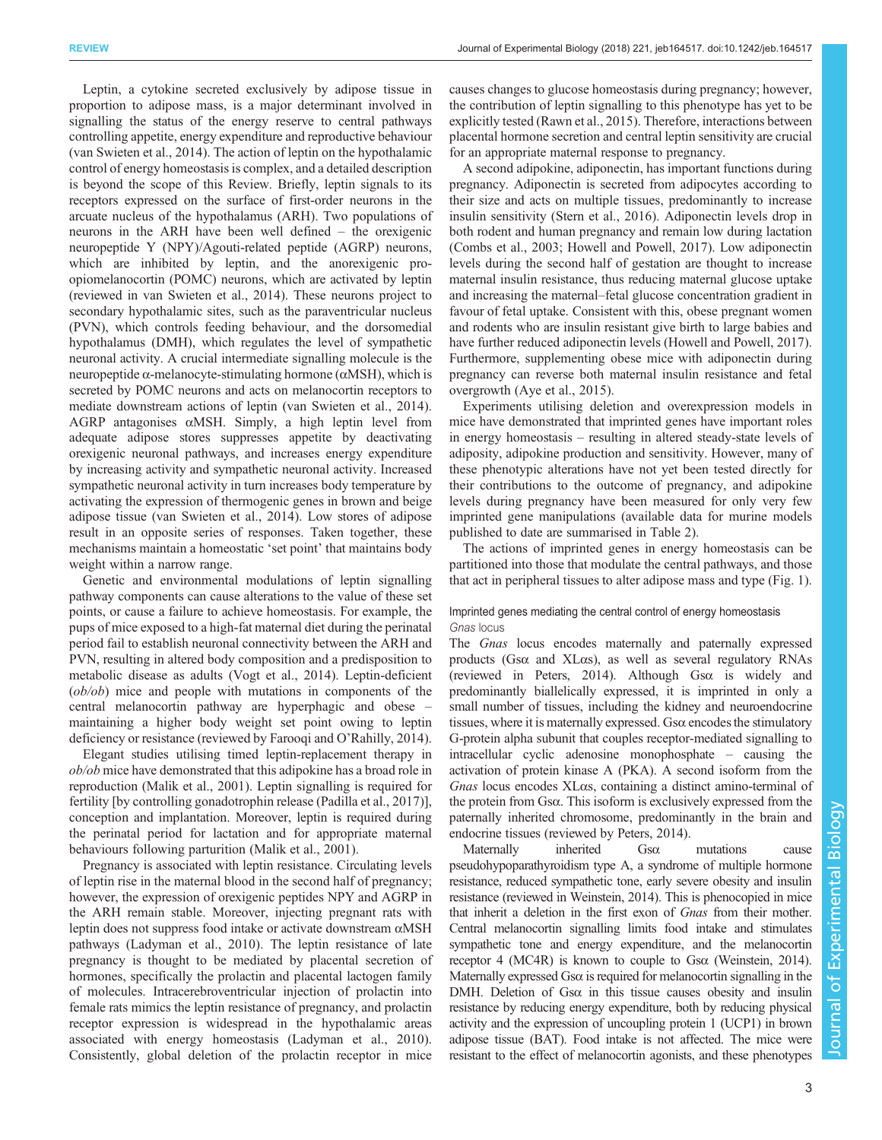Leptin, a cytokine secreted exclusively by adipose tissue in proportion to adipose mass, is a major determinant involved in signalling the status of the energy reserve to central pathways controlling appetite, energy expenditure and reproductive behaviour [\(van Swieten et al., 2014\)](#page-8-0). The action of leptin on the hypothalamic control of energy homeostasis is complex, and a detailed description is beyond the scope of this Review. Briefly, leptin signals to its receptors expressed on the surface of first-order neurons in the arcuate nucleus of the hypothalamus (ARH). Two populations of neurons in the ARH have been well defined – the orexigenic neuropeptide Y (NPY)/Agouti-related peptide (AGRP) neurons, which are inhibited by leptin, and the anorexigenic proopiomelanocortin (POMC) neurons, which are activated by leptin (reviewed in [van Swieten et al., 2014\)](#page-8-0). These neurons project to secondary hypothalamic sites, such as the paraventricular nucleus (PVN), which controls feeding behaviour, and the dorsomedial hypothalamus (DMH), which regulates the level of sympathetic neuronal activity. A crucial intermediate signalling molecule is the neuropeptide  $α$ -melanocyte-stimulating hormone ( $αMSH$ ), which is secreted by POMC neurons and acts on melanocortin receptors to mediate downstream actions of leptin [\(van Swieten et al., 2014\)](#page-8-0). AGRP antagonises αMSH. Simply, a high leptin level from adequate adipose stores suppresses appetite by deactivating orexigenic neuronal pathways, and increases energy expenditure by increasing activity and sympathetic neuronal activity. Increased sympathetic neuronal activity in turn increases body temperature by activating the expression of thermogenic genes in brown and beige adipose tissue ([van Swieten et al., 2014\)](#page-8-0). Low stores of adipose result in an opposite series of responses. Taken together, these mechanisms maintain a homeostatic 'set point' that maintains body weight within a narrow range.

Genetic and environmental modulations of leptin signalling pathway components can cause alterations to the value of these set points, or cause a failure to achieve homeostasis. For example, the pups of mice exposed to a high-fat maternal diet during the perinatal period fail to establish neuronal connectivity between the ARH and PVN, resulting in altered body composition and a predisposition to metabolic disease as adults ([Vogt et al., 2014](#page-8-0)). Leptin-deficient (ob/ob) mice and people with mutations in components of the central melanocortin pathway are hyperphagic and obese – maintaining a higher body weight set point owing to leptin deficiency or resistance (reviewed by [Farooqi and O](#page-7-0)'Rahilly, 2014).

Elegant studies utilising timed leptin-replacement therapy in ob/ob mice have demonstrated that this adipokine has a broad role in reproduction ([Malik et al., 2001](#page-7-0)). Leptin signalling is required for fertility [by controlling gonadotrophin release ([Padilla et al., 2017](#page-7-0))], conception and implantation. Moreover, leptin is required during the perinatal period for lactation and for appropriate maternal behaviours following parturition [\(Malik et al., 2001\)](#page-7-0).

Pregnancy is associated with leptin resistance. Circulating levels of leptin rise in the maternal blood in the second half of pregnancy; however, the expression of orexigenic peptides NPY and AGRP in the ARH remain stable. Moreover, injecting pregnant rats with leptin does not suppress food intake or activate downstream αMSH pathways ([Ladyman et al., 2010\)](#page-7-0). The leptin resistance of late pregnancy is thought to be mediated by placental secretion of hormones, specifically the prolactin and placental lactogen family of molecules. Intracerebroventricular injection of prolactin into female rats mimics the leptin resistance of pregnancy, and prolactin receptor expression is widespread in the hypothalamic areas associated with energy homeostasis ([Ladyman et al., 2010\)](#page-7-0). Consistently, global deletion of the prolactin receptor in mice

causes changes to glucose homeostasis during pregnancy; however, the contribution of leptin signalling to this phenotype has yet to be explicitly tested [\(Rawn et al., 2015\)](#page-7-0). Therefore, interactions between placental hormone secretion and central leptin sensitivity are crucial for an appropriate maternal response to pregnancy.

A second adipokine, adiponectin, has important functions during pregnancy. Adiponectin is secreted from adipocytes according to their size and acts on multiple tissues, predominantly to increase insulin sensitivity ([Stern et al., 2016\)](#page-8-0). Adiponectin levels drop in both rodent and human pregnancy and remain low during lactation [\(Combs et al., 2003](#page-6-0); [Howell and Powell, 2017](#page-7-0)). Low adiponectin levels during the second half of gestation are thought to increase maternal insulin resistance, thus reducing maternal glucose uptake and increasing the maternal–fetal glucose concentration gradient in favour of fetal uptake. Consistent with this, obese pregnant women and rodents who are insulin resistant give birth to large babies and have further reduced adiponectin levels [\(Howell and Powell, 2017\)](#page-7-0). Furthermore, supplementing obese mice with adiponectin during pregnancy can reverse both maternal insulin resistance and fetal overgrowth [\(Aye et al., 2015](#page-6-0)).

Experiments utilising deletion and overexpression models in mice have demonstrated that imprinted genes have important roles in energy homeostasis – resulting in altered steady-state levels of adiposity, adipokine production and sensitivity. However, many of these phenotypic alterations have not yet been tested directly for their contributions to the outcome of pregnancy, and adipokine levels during pregnancy have been measured for only very few imprinted gene manipulations (available data for murine models published to date are summarised in [Table 2](#page-3-0)).

The actions of imprinted genes in energy homeostasis can be partitioned into those that modulate the central pathways, and those that act in peripheral tissues to alter adipose mass and type [\(Fig. 1\)](#page-4-0).

# Imprinted genes mediating the central control of energy homeostasis Gnas locus

The Gnas locus encodes maternally and paternally expressed products (Gsα and XLαs), as well as several regulatory RNAs (reviewed in [Peters, 2014\)](#page-7-0). Although Gsα is widely and predominantly biallelically expressed, it is imprinted in only a small number of tissues, including the kidney and neuroendocrine tissues, where it is maternally expressed. Gsα encodes the stimulatory G-protein alpha subunit that couples receptor-mediated signalling to intracellular cyclic adenosine monophosphate – causing the activation of protein kinase A (PKA). A second isoform from the Gnas locus encodes XLαs, containing a distinct amino-terminal of the protein from Gsα. This isoform is exclusively expressed from the paternally inherited chromosome, predominantly in the brain and endocrine tissues (reviewed by [Peters, 2014\)](#page-7-0).

Maternally inherited Gsα mutations cause pseudohypoparathyroidism type A, a syndrome of multiple hormone resistance, reduced sympathetic tone, early severe obesity and insulin resistance (reviewed in [Weinstein, 2014](#page-8-0)). This is phenocopied in mice that inherit a deletion in the first exon of Gnas from their mother. Central melanocortin signalling limits food intake and stimulates sympathetic tone and energy expenditure, and the melanocortin receptor 4 (MC4R) is known to couple to Gsα [\(Weinstein, 2014\)](#page-8-0). Maternally expressed Gsα is required for melanocortin signalling in the DMH. Deletion of Gsα in this tissue causes obesity and insulin resistance by reducing energy expenditure, both by reducing physical activity and the expression of uncoupling protein 1 (UCP1) in brown adipose tissue (BAT). Food intake is not affected. The mice were resistant to the effect of melanocortin agonists, and these phenotypes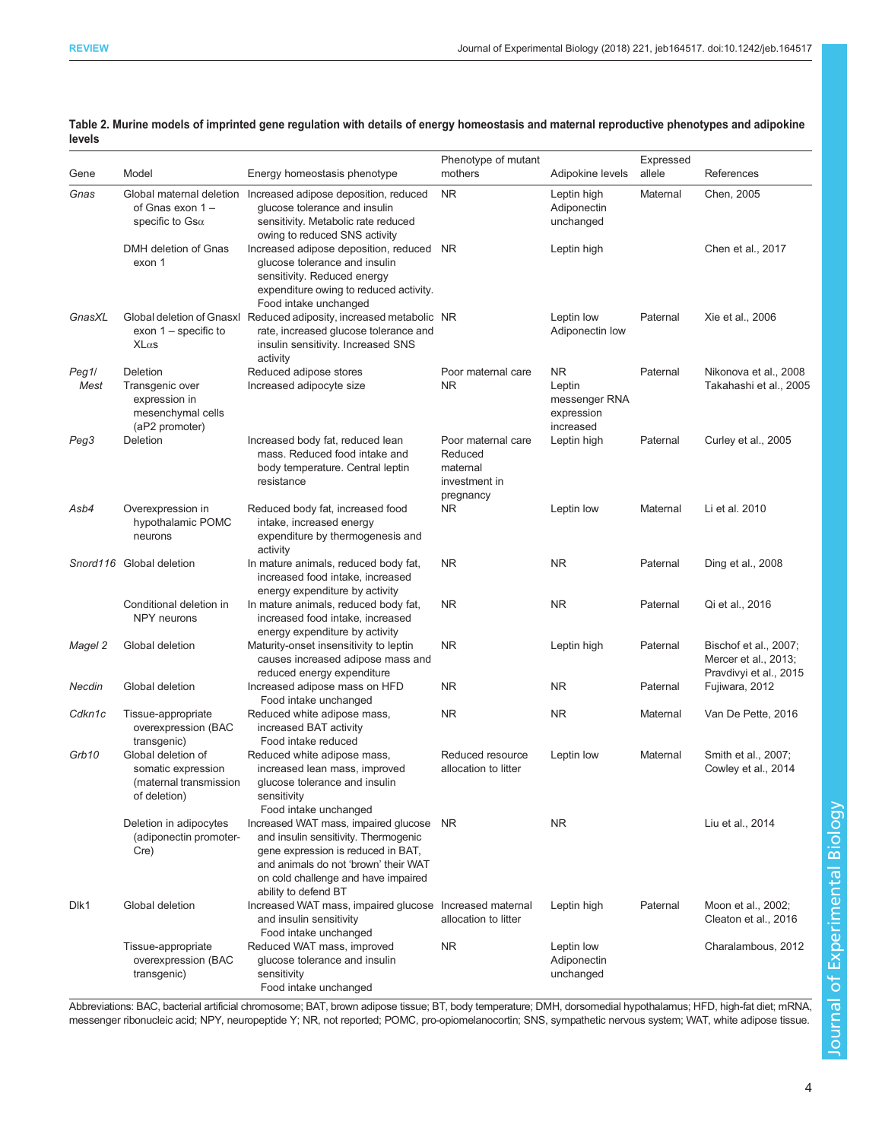<span id="page-3-0"></span>

| Table 2. Murine models of imprinted gene regulation with details of energy homeostasis and maternal reproductive phenotypes and adipokine |  |
|-------------------------------------------------------------------------------------------------------------------------------------------|--|
| levels                                                                                                                                    |  |

| Gene          | Model                                                                               | Energy homeostasis phenotype                                                                                                                                                                                                 | Phenotype of mutant<br>mothers                                          | Adipokine levels                                          | Expressed<br>allele | References                                                              |
|---------------|-------------------------------------------------------------------------------------|------------------------------------------------------------------------------------------------------------------------------------------------------------------------------------------------------------------------------|-------------------------------------------------------------------------|-----------------------------------------------------------|---------------------|-------------------------------------------------------------------------|
| Gnas          | of Gnas exon 1-<br>specific to $\mathsf{Gsa}\xspace$                                | Global maternal deletion Increased adipose deposition, reduced<br>glucose tolerance and insulin<br>sensitivity. Metabolic rate reduced<br>owing to reduced SNS activity                                                      | <b>NR</b>                                                               | Leptin high<br>Adiponectin<br>unchanged                   | Maternal            | Chen, 2005                                                              |
|               | DMH deletion of Gnas<br>exon 1                                                      | Increased adipose deposition, reduced NR<br>glucose tolerance and insulin<br>sensitivity. Reduced energy<br>expenditure owing to reduced activity.<br>Food intake unchanged                                                  |                                                                         | Leptin high                                               |                     | Chen et al., 2017                                                       |
| GnasXL        | exon $1$ – specific to<br>$X$ L $\alpha$ s                                          | Global deletion of Gnasxl Reduced adiposity, increased metabolic NR<br>rate, increased glucose tolerance and<br>insulin sensitivity. Increased SNS<br>activity                                                               |                                                                         | Leptin low<br>Adiponectin low                             | Paternal            | Xie et al., 2006                                                        |
| Peg1/<br>Mest | Deletion<br>Transgenic over<br>expression in<br>mesenchymal cells<br>(aP2 promoter) | Reduced adipose stores<br>Increased adipocyte size                                                                                                                                                                           | Poor maternal care<br>NR.                                               | NR.<br>Leptin<br>messenger RNA<br>expression<br>increased | Paternal            | Nikonova et al., 2008<br>Takahashi et al., 2005                         |
| Peg3          | Deletion                                                                            | Increased body fat, reduced lean<br>mass. Reduced food intake and<br>body temperature. Central leptin<br>resistance                                                                                                          | Poor maternal care<br>Reduced<br>maternal<br>investment in<br>pregnancy | Leptin high                                               | Paternal            | Curley et al., 2005                                                     |
| Asb4          | Overexpression in<br>hypothalamic POMC<br>neurons                                   | Reduced body fat, increased food<br>intake, increased energy<br>expenditure by thermogenesis and<br>activity                                                                                                                 | NR                                                                      | Leptin low                                                | Maternal            | Li et al. 2010                                                          |
|               | Snord116 Global deletion                                                            | In mature animals, reduced body fat,<br>increased food intake, increased<br>energy expenditure by activity                                                                                                                   | <b>NR</b>                                                               | <b>NR</b>                                                 | Paternal            | Ding et al., 2008                                                       |
|               | Conditional deletion in<br><b>NPY</b> neurons                                       | In mature animals, reduced body fat,<br>increased food intake, increased<br>energy expenditure by activity                                                                                                                   | NR                                                                      | <b>NR</b>                                                 | Paternal            | Qi et al., 2016                                                         |
| Magel 2       | Global deletion                                                                     | Maturity-onset insensitivity to leptin<br>causes increased adipose mass and<br>reduced energy expenditure                                                                                                                    | <b>NR</b>                                                               | Leptin high                                               | Paternal            | Bischof et al., 2007;<br>Mercer et al., 2013;<br>Pravdivyi et al., 2015 |
| Necdin        | Global deletion                                                                     | Increased adipose mass on HFD<br>Food intake unchanged                                                                                                                                                                       | <b>NR</b>                                                               | <b>NR</b>                                                 | Paternal            | Fujiwara, 2012                                                          |
| Cdkn1c        | Tissue-appropriate<br>overexpression (BAC<br>transgenic)                            | Reduced white adipose mass,<br>increased BAT activity<br>Food intake reduced                                                                                                                                                 | <b>NR</b>                                                               | NR.                                                       | Maternal            | Van De Pette, 2016                                                      |
| Grb10         | Global deletion of<br>somatic expression<br>(maternal transmission<br>of deletion)  | Reduced white adipose mass,<br>increased lean mass, improved<br>glucose tolerance and insulin<br>sensitivity<br>Food intake unchanged                                                                                        | Reduced resource<br>allocation to litter                                | Leptin low                                                | Maternal            | Smith et al., 2007;<br>Cowley et al., 2014                              |
|               | Deletion in adipocytes<br>(adiponectin promoter-<br>Cre)                            | Increased WAT mass, impaired glucose NR<br>and insulin sensitivity. Thermogenic<br>gene expression is reduced in BAT,<br>and animals do not 'brown' their WAT<br>on cold challenge and have impaired<br>ability to defend BT |                                                                         | <b>NR</b>                                                 |                     | Liu et al., 2014                                                        |
| Dlk1          | Global deletion                                                                     | Increased WAT mass, impaired glucose<br>and insulin sensitivity<br>Food intake unchanged                                                                                                                                     | Increased maternal<br>allocation to litter                              | Leptin high                                               | Paternal            | Moon et al., 2002;<br>Cleaton et al., 2016                              |
|               | Tissue-appropriate<br>overexpression (BAC<br>transgenic)                            | Reduced WAT mass, improved<br>glucose tolerance and insulin<br>sensitivity<br>Food intake unchanged                                                                                                                          | <b>NR</b>                                                               | Leptin low<br>Adiponectin<br>unchanged                    |                     | Charalambous, 2012                                                      |

Abbreviations: BAC, bacterial artificial chromosome; BAT, brown adipose tissue; BT, body temperature; DMH, dorsomedial hypothalamus; HFD, high-fat diet; mRNA, messenger ribonucleic acid; NPY, neuropeptide Y; NR, not reported; POMC, pro-opiomelanocortin; SNS, sympathetic nervous system; WAT, white adipose tissue.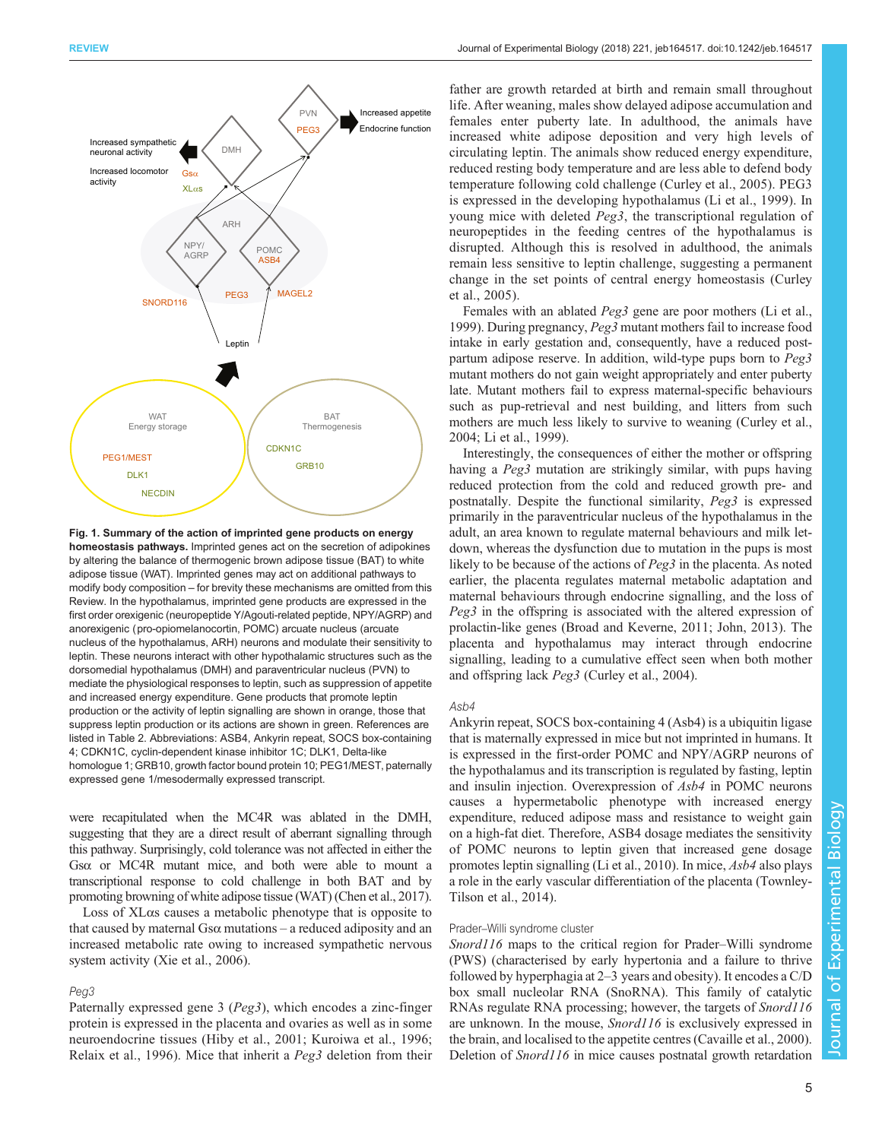<span id="page-4-0"></span>

Fig. 1. Summary of the action of imprinted gene products on energy homeostasis pathways. Imprinted genes act on the secretion of adipokines by altering the balance of thermogenic brown adipose tissue (BAT) to white adipose tissue (WAT). Imprinted genes may act on additional pathways to modify body composition – for brevity these mechanisms are omitted from this Review. In the hypothalamus, imprinted gene products are expressed in the first order orexigenic (neuropeptide Y/Agouti-related peptide, NPY/AGRP) and anorexigenic (pro-opiomelanocortin, POMC) arcuate nucleus (arcuate nucleus of the hypothalamus, ARH) neurons and modulate their sensitivity to leptin. These neurons interact with other hypothalamic structures such as the dorsomedial hypothalamus (DMH) and paraventricular nucleus (PVN) to mediate the physiological responses to leptin, such as suppression of appetite and increased energy expenditure. Gene products that promote leptin production or the activity of leptin signalling are shown in orange, those that suppress leptin production or its actions are shown in green. References are listed in [Table 2.](#page-3-0) Abbreviations: ASB4, Ankyrin repeat, SOCS box-containing 4; CDKN1C, cyclin-dependent kinase inhibitor 1C; DLK1, Delta-like homologue 1; GRB10, growth factor bound protein 10; PEG1/MEST, paternally expressed gene 1/mesodermally expressed transcript.

were recapitulated when the MC4R was ablated in the DMH, suggesting that they are a direct result of aberrant signalling through this pathway. Surprisingly, cold tolerance was not affected in either the Gsα or MC4R mutant mice, and both were able to mount a transcriptional response to cold challenge in both BAT and by promoting browning of white adipose tissue (WAT) [\(Chen et al., 2017\)](#page-6-0).

Loss of XLαs causes a metabolic phenotype that is opposite to that caused by maternal Gsα mutations – a reduced adiposity and an increased metabolic rate owing to increased sympathetic nervous system activity ([Xie et al., 2006\)](#page-8-0).

## Peg3

Paternally expressed gene 3 (Peg3), which encodes a zinc-finger protein is expressed in the placenta and ovaries as well as in some neuroendocrine tissues [\(Hiby et al., 2001](#page-7-0); [Kuroiwa et al., 1996](#page-7-0); [Relaix et al., 1996](#page-7-0)). Mice that inherit a Peg3 deletion from their

father are growth retarded at birth and remain small throughout life. After weaning, males show delayed adipose accumulation and females enter puberty late. In adulthood, the animals have increased white adipose deposition and very high levels of circulating leptin. The animals show reduced energy expenditure, reduced resting body temperature and are less able to defend body temperature following cold challenge [\(Curley et al., 2005](#page-7-0)). PEG3 is expressed in the developing hypothalamus [\(Li et al., 1999\)](#page-7-0). In young mice with deleted Peg3, the transcriptional regulation of neuropeptides in the feeding centres of the hypothalamus is disrupted. Although this is resolved in adulthood, the animals remain less sensitive to leptin challenge, suggesting a permanent change in the set points of central energy homeostasis ([Curley](#page-7-0) [et al., 2005\)](#page-7-0).

Females with an ablated Peg3 gene are poor mothers [\(Li et al.,](#page-7-0) [1999\)](#page-7-0). During pregnancy, Peg3 mutant mothers fail to increase food intake in early gestation and, consequently, have a reduced postpartum adipose reserve. In addition, wild-type pups born to Peg3 mutant mothers do not gain weight appropriately and enter puberty late. Mutant mothers fail to express maternal-specific behaviours such as pup-retrieval and nest building, and litters from such mothers are much less likely to survive to weaning [\(Curley et al.,](#page-7-0) [2004; Li et al., 1999\)](#page-7-0).

Interestingly, the consequences of either the mother or offspring having a *Peg3* mutation are strikingly similar, with pups having reduced protection from the cold and reduced growth pre- and postnatally. Despite the functional similarity, Peg3 is expressed primarily in the paraventricular nucleus of the hypothalamus in the adult, an area known to regulate maternal behaviours and milk letdown, whereas the dysfunction due to mutation in the pups is most likely to be because of the actions of *Peg3* in the placenta. As noted earlier, the placenta regulates maternal metabolic adaptation and maternal behaviours through endocrine signalling, and the loss of Peg3 in the offspring is associated with the altered expression of prolactin-like genes ([Broad and Keverne, 2011](#page-6-0); [John, 2013\)](#page-7-0). The placenta and hypothalamus may interact through endocrine signalling, leading to a cumulative effect seen when both mother and offspring lack Peg3 ([Curley et al., 2004](#page-7-0)).

#### Asb4

Ankyrin repeat, SOCS box-containing 4 (Asb4) is a ubiquitin ligase that is maternally expressed in mice but not imprinted in humans. It is expressed in the first-order POMC and NPY/AGRP neurons of the hypothalamus and its transcription is regulated by fasting, leptin and insulin injection. Overexpression of Asb4 in POMC neurons causes a hypermetabolic phenotype with increased energy expenditure, reduced adipose mass and resistance to weight gain on a high-fat diet. Therefore, ASB4 dosage mediates the sensitivity of POMC neurons to leptin given that increased gene dosage promotes leptin signalling ([Li et al., 2010](#page-7-0)). In mice, Asb4 also plays a role in the early vascular differentiation of the placenta ([Townley-](#page-8-0)[Tilson et al., 2014](#page-8-0)).

# Prader–Willi syndrome cluster

Snord116 maps to the critical region for Prader–Willi syndrome (PWS) (characterised by early hypertonia and a failure to thrive followed by hyperphagia at 2–3 years and obesity). It encodes a C/D box small nucleolar RNA (SnoRNA). This family of catalytic RNAs regulate RNA processing; however, the targets of Snord116 are unknown. In the mouse, Snord116 is exclusively expressed in the brain, and localised to the appetite centres ([Cavaille et al., 2000\)](#page-6-0). Deletion of *Snord116* in mice causes postnatal growth retardation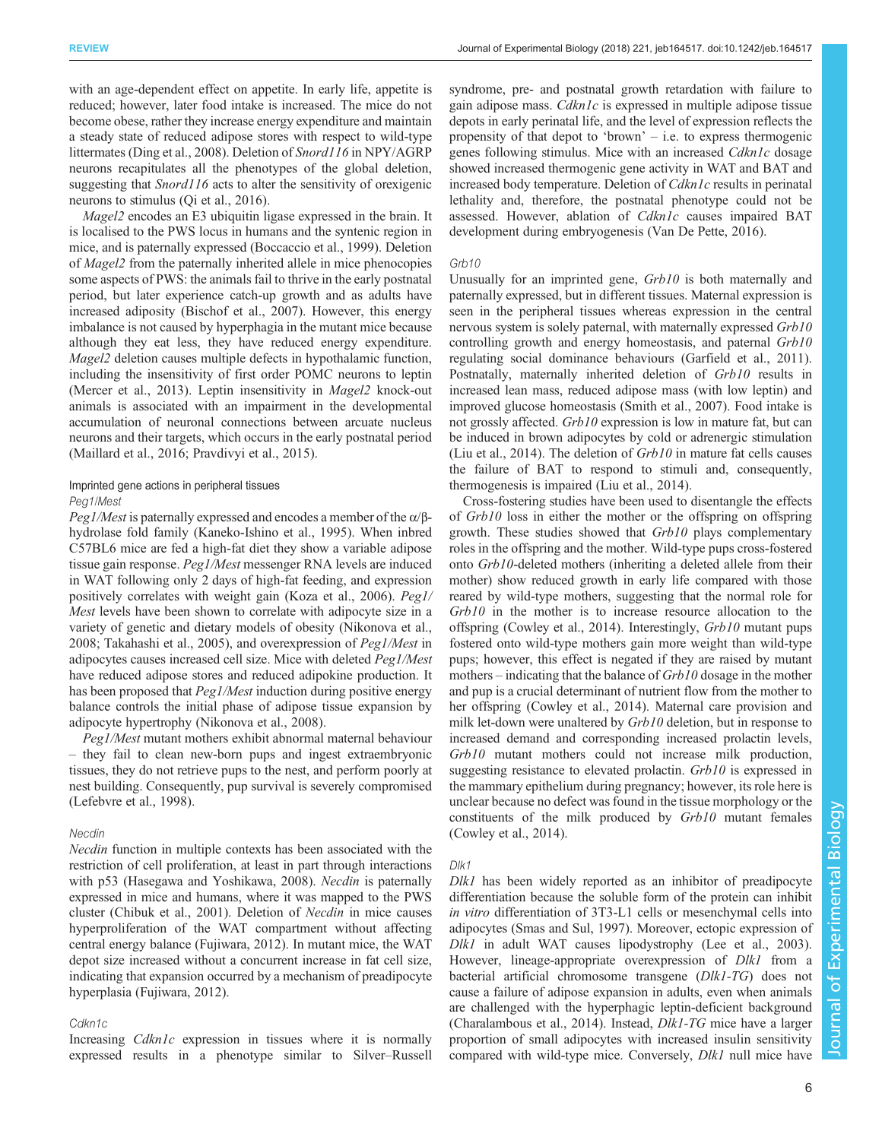with an age-dependent effect on appetite. In early life, appetite is reduced; however, later food intake is increased. The mice do not become obese, rather they increase energy expenditure and maintain a steady state of reduced adipose stores with respect to wild-type littermates [\(Ding et al., 2008\)](#page-7-0). Deletion of Snord116 in NPY/AGRP neurons recapitulates all the phenotypes of the global deletion, suggesting that *Snord116* acts to alter the sensitivity of orexigenic neurons to stimulus ([Qi et al., 2016](#page-7-0)).

Magel2 encodes an E3 ubiquitin ligase expressed in the brain. It is localised to the PWS locus in humans and the syntenic region in mice, and is paternally expressed ([Boccaccio et al., 1999\)](#page-6-0). Deletion of Magel2 from the paternally inherited allele in mice phenocopies some aspects of PWS: the animals fail to thrive in the early postnatal period, but later experience catch-up growth and as adults have increased adiposity ([Bischof et al., 2007](#page-6-0)). However, this energy imbalance is not caused by hyperphagia in the mutant mice because although they eat less, they have reduced energy expenditure. Magel2 deletion causes multiple defects in hypothalamic function, including the insensitivity of first order POMC neurons to leptin [\(Mercer et al., 2013\)](#page-7-0). Leptin insensitivity in Magel2 knock-out animals is associated with an impairment in the developmental accumulation of neuronal connections between arcuate nucleus neurons and their targets, which occurs in the early postnatal period [\(Maillard et al., 2016; Pravdivyi et al., 2015](#page-7-0)).

# Imprinted gene actions in peripheral tissues Peg1/Mest

*Peg1/Mest* is paternally expressed and encodes a member of the α/βhydrolase fold family ([Kaneko-Ishino et al., 1995](#page-7-0)). When inbred C57BL6 mice are fed a high-fat diet they show a variable adipose tissue gain response. Peg1/Mest messenger RNA levels are induced in WAT following only 2 days of high-fat feeding, and expression positively correlates with weight gain ([Koza et al., 2006](#page-7-0)). Peg1/ Mest levels have been shown to correlate with adipocyte size in a variety of genetic and dietary models of obesity ([Nikonova et al.,](#page-7-0) [2008](#page-7-0); [Takahashi et al., 2005](#page-8-0)), and overexpression of Peg1/Mest in adipocytes causes increased cell size. Mice with deleted Peg1/Mest have reduced adipose stores and reduced adipokine production. It has been proposed that *Peg1/Mest* induction during positive energy balance controls the initial phase of adipose tissue expansion by adipocyte hypertrophy [\(Nikonova et al., 2008](#page-7-0)).

Peg1/Mest mutant mothers exhibit abnormal maternal behaviour – they fail to clean new-born pups and ingest extraembryonic tissues, they do not retrieve pups to the nest, and perform poorly at nest building. Consequently, pup survival is severely compromised [\(Lefebvre et al., 1998](#page-7-0)).

# Necdin

Necdin function in multiple contexts has been associated with the restriction of cell proliferation, at least in part through interactions with p53 ([Hasegawa and Yoshikawa, 2008](#page-7-0)). Necdin is paternally expressed in mice and humans, where it was mapped to the PWS cluster [\(Chibuk et al., 2001](#page-6-0)). Deletion of Necdin in mice causes hyperproliferation of the WAT compartment without affecting central energy balance ([Fujiwara, 2012](#page-7-0)). In mutant mice, the WAT depot size increased without a concurrent increase in fat cell size, indicating that expansion occurred by a mechanism of preadipocyte hyperplasia [\(Fujiwara,](#page-7-0) 2012).

## Cdkn<sub>1c</sub>

Increasing *Cdkn1c* expression in tissues where it is normally expressed results in a phenotype similar to Silver–Russell syndrome, pre- and postnatal growth retardation with failure to gain adipose mass. Cdkn1c is expressed in multiple adipose tissue depots in early perinatal life, and the level of expression reflects the propensity of that depot to 'brown' – i.e. to express thermogenic genes following stimulus. Mice with an increased Cdkn1c dosage showed increased thermogenic gene activity in WAT and BAT and increased body temperature. Deletion of Cdkn1c results in perinatal lethality and, therefore, the postnatal phenotype could not be assessed. However, ablation of Cdkn1c causes impaired BAT development during embryogenesis ([Van De Pette, 2016](#page-8-0)).

#### Gr<sub>b10</sub>

Unusually for an imprinted gene, Grb10 is both maternally and paternally expressed, but in different tissues. Maternal expression is seen in the peripheral tissues whereas expression in the central nervous system is solely paternal, with maternally expressed Grb10 controlling growth and energy homeostasis, and paternal Grb10 regulating social dominance behaviours [\(Garfield et al., 2011\)](#page-7-0). Postnatally, maternally inherited deletion of Grb10 results in increased lean mass, reduced adipose mass (with low leptin) and improved glucose homeostasis ([Smith et al., 2007\)](#page-8-0). Food intake is not grossly affected. Grb10 expression is low in mature fat, but can be induced in brown adipocytes by cold or adrenergic stimulation [\(Liu et al., 2014](#page-7-0)). The deletion of  $Grb10$  in mature fat cells causes the failure of BAT to respond to stimuli and, consequently, thermogenesis is impaired ([Liu et al., 2014](#page-7-0)).

Cross-fostering studies have been used to disentangle the effects of Grb10 loss in either the mother or the offspring on offspring growth. These studies showed that  $Grb10$  plays complementary roles in the offspring and the mother. Wild-type pups cross-fostered onto Grb10-deleted mothers (inheriting a deleted allele from their mother) show reduced growth in early life compared with those reared by wild-type mothers, suggesting that the normal role for Grb10 in the mother is to increase resource allocation to the offspring ([Cowley et al., 2014\)](#page-6-0). Interestingly, Grb10 mutant pups fostered onto wild-type mothers gain more weight than wild-type pups; however, this effect is negated if they are raised by mutant mothers – indicating that the balance of  $Grb10$  dosage in the mother and pup is a crucial determinant of nutrient flow from the mother to her offspring ([Cowley et al., 2014\)](#page-6-0). Maternal care provision and milk let-down were unaltered by  $Grb10$  deletion, but in response to increased demand and corresponding increased prolactin levels, Grb10 mutant mothers could not increase milk production, suggesting resistance to elevated prolactin. Grb10 is expressed in the mammary epithelium during pregnancy; however, its role here is unclear because no defect was found in the tissue morphology or the constituents of the milk produced by Grb10 mutant females [\(Cowley et al., 2014\)](#page-6-0).

#### Dlk1

Dlk1 has been widely reported as an inhibitor of preadipocyte differentiation because the soluble form of the protein can inhibit in vitro differentiation of 3T3-L1 cells or mesenchymal cells into adipocytes [\(Smas and Sul, 1997](#page-8-0)). Moreover, ectopic expression of Dlk1 in adult WAT causes lipodystrophy [\(Lee et al., 2003\)](#page-7-0). However, lineage-appropriate overexpression of *Dlk1* from a bacterial artificial chromosome transgene (Dlk1-TG) does not cause a failure of adipose expansion in adults, even when animals are challenged with the hyperphagic leptin-deficient background [\(Charalambous et al., 2014\)](#page-6-0). Instead, Dlk1-TG mice have a larger proportion of small adipocytes with increased insulin sensitivity compared with wild-type mice. Conversely, Dlk1 null mice have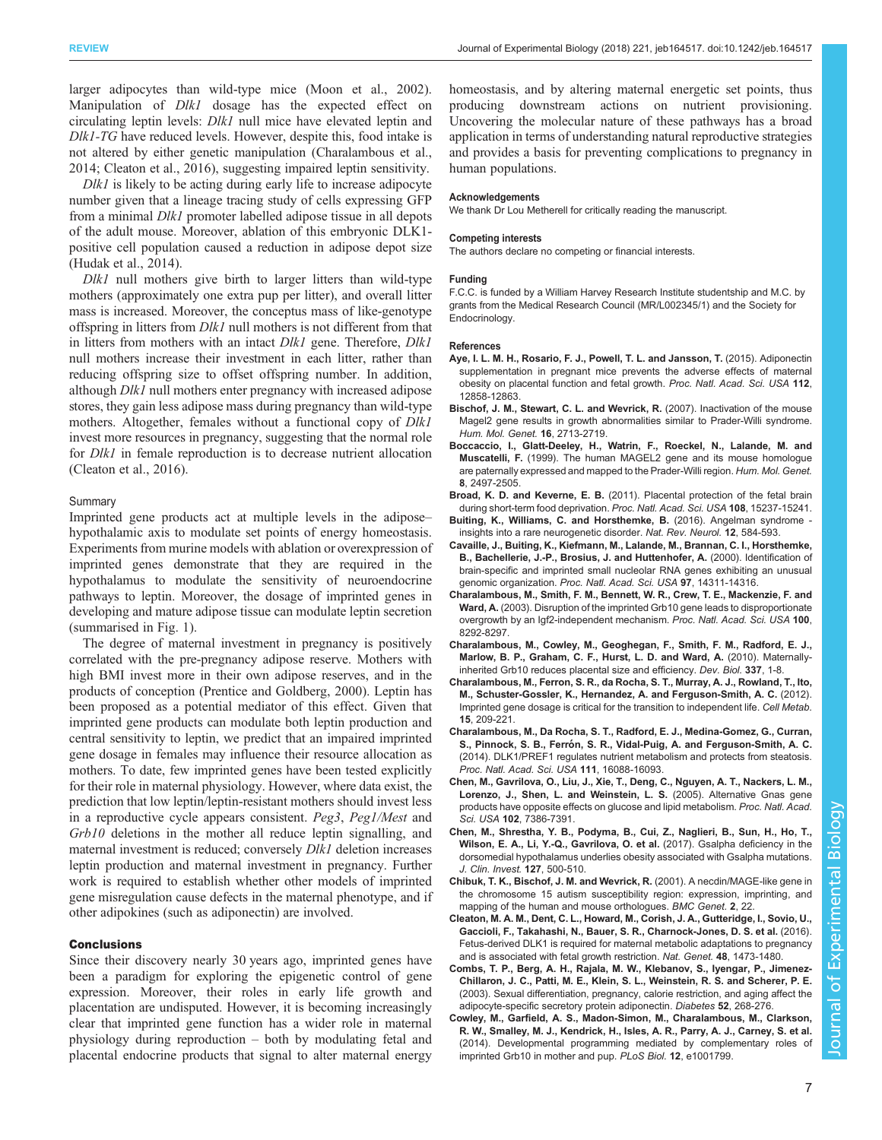<span id="page-6-0"></span>larger adipocytes than wild-type mice [\(Moon et al., 2002\)](#page-7-0). Manipulation of *Dlk1* dosage has the expected effect on circulating leptin levels: Dlk1 null mice have elevated leptin and Dlk1-TG have reduced levels. However, despite this, food intake is not altered by either genetic manipulation (Charalambous et al., 2014; Cleaton et al., 2016), suggesting impaired leptin sensitivity.

Dlk1 is likely to be acting during early life to increase adipocyte number given that a lineage tracing study of cells expressing GFP from a minimal Dlk1 promoter labelled adipose tissue in all depots of the adult mouse. Moreover, ablation of this embryonic DLK1 positive cell population caused a reduction in adipose depot size [\(Hudak et al., 2014](#page-7-0)).

Dlk1 null mothers give birth to larger litters than wild-type mothers (approximately one extra pup per litter), and overall litter mass is increased. Moreover, the conceptus mass of like-genotype offspring in litters from Dlk1 null mothers is not different from that in litters from mothers with an intact *Dlk1* gene. Therefore, *Dlk1* null mothers increase their investment in each litter, rather than reducing offspring size to offset offspring number. In addition, although Dlk1 null mothers enter pregnancy with increased adipose stores, they gain less adipose mass during pregnancy than wild-type mothers. Altogether, females without a functional copy of *Dlk1* invest more resources in pregnancy, suggesting that the normal role for *Dlk1* in female reproduction is to decrease nutrient allocation (Cleaton et al., 2016).

# Summary

Imprinted gene products act at multiple levels in the adipose– hypothalamic axis to modulate set points of energy homeostasis. Experiments from murine models with ablation or overexpression of imprinted genes demonstrate that they are required in the hypothalamus to modulate the sensitivity of neuroendocrine pathways to leptin. Moreover, the dosage of imprinted genes in developing and mature adipose tissue can modulate leptin secretion (summarised in [Fig. 1\)](#page-4-0).

The degree of maternal investment in pregnancy is positively correlated with the pre-pregnancy adipose reserve. Mothers with high BMI invest more in their own adipose reserves, and in the products of conception [\(Prentice and Goldberg, 2000\)](#page-7-0). Leptin has been proposed as a potential mediator of this effect. Given that imprinted gene products can modulate both leptin production and central sensitivity to leptin, we predict that an impaired imprinted gene dosage in females may influence their resource allocation as mothers. To date, few imprinted genes have been tested explicitly for their role in maternal physiology. However, where data exist, the prediction that low leptin/leptin-resistant mothers should invest less in a reproductive cycle appears consistent. Peg3, Peg1/Mest and Grb10 deletions in the mother all reduce leptin signalling, and maternal investment is reduced; conversely Dlk1 deletion increases leptin production and maternal investment in pregnancy. Further work is required to establish whether other models of imprinted gene misregulation cause defects in the maternal phenotype, and if other adipokines (such as adiponectin) are involved.

# **Conclusions**

Since their discovery nearly 30 years ago, imprinted genes have been a paradigm for exploring the epigenetic control of gene expression. Moreover, their roles in early life growth and placentation are undisputed. However, it is becoming increasingly clear that imprinted gene function has a wider role in maternal physiology during reproduction – both by modulating fetal and placental endocrine products that signal to alter maternal energy

homeostasis, and by altering maternal energetic set points, thus producing downstream actions on nutrient provisioning. Uncovering the molecular nature of these pathways has a broad application in terms of understanding natural reproductive strategies and provides a basis for preventing complications to pregnancy in human populations.

#### Acknowledgements

We thank Dr Lou Metherell for critically reading the manuscript.

#### Competing interests

The authors declare no competing or financial interests.

#### Funding

F.C.C. is funded by a William Harvey Research Institute studentship and M.C. by grants from the Medical Research Council (MR/L002345/1) and the Society for Endocrinology.

## References

- [Aye, I. L. M. H., Rosario, F. J., Powell, T. L. and Jansson, T.](http://dx.doi.org/10.1073/pnas.1515484112) (2015). Adiponectin [supplementation in pregnant mice prevents the adverse effects of maternal](http://dx.doi.org/10.1073/pnas.1515484112) [obesity on placental function and fetal growth.](http://dx.doi.org/10.1073/pnas.1515484112) Proc. Natl. Acad. Sci. USA 112, [12858-12863.](http://dx.doi.org/10.1073/pnas.1515484112)
- [Bischof, J. M., Stewart, C. L. and Wevrick, R.](http://dx.doi.org/10.1093/hmg/ddm225) (2007). Inactivation of the mouse [Magel2 gene results in growth abnormalities similar to Prader-Willi syndrome.](http://dx.doi.org/10.1093/hmg/ddm225) [Hum. Mol. Genet.](http://dx.doi.org/10.1093/hmg/ddm225) 16, 2713-2719.
- [Boccaccio, I., Glatt-Deeley, H., Watrin, F., Roeckel, N., Lalande, M. and](http://dx.doi.org/10.1093/hmg/8.13.2497) Muscatelli, F. [\(1999\). The human MAGEL2 gene and its mouse homologue](http://dx.doi.org/10.1093/hmg/8.13.2497) [are paternally expressed and mapped to the Prader-Willi region.](http://dx.doi.org/10.1093/hmg/8.13.2497) Hum. Mol. Genet. 8[, 2497-2505.](http://dx.doi.org/10.1093/hmg/8.13.2497)
- Broad, K. D. and Keverne, E. B. [\(2011\). Placental protection of the fetal brain](http://dx.doi.org/10.1073/pnas.1106022108) [during short-term food deprivation.](http://dx.doi.org/10.1073/pnas.1106022108) Proc. Natl. Acad. Sci. USA 108, 15237-15241.
- [Buiting, K., Williams, C. and Horsthemke, B.](http://dx.doi.org/10.1038/nrneurol.2016.133) (2016). Angelman syndrome [insights into a rare neurogenetic disorder.](http://dx.doi.org/10.1038/nrneurol.2016.133) Nat. Rev. Neurol. 12, 584-593.
- [Cavaille, J., Buiting, K., Kiefmann, M., Lalande, M., Brannan, C. I., Horsthemke,](http://dx.doi.org/10.1073/pnas.250426397) [B., Bachellerie, J.-P., Brosius, J. and Huttenhofer, A.](http://dx.doi.org/10.1073/pnas.250426397) (2000). Identification of [brain-specific and imprinted small nucleolar RNA genes exhibiting an unusual](http://dx.doi.org/10.1073/pnas.250426397) genomic organization. [Proc. Natl. Acad. Sci. USA](http://dx.doi.org/10.1073/pnas.250426397) 97, 14311-14316.
- [Charalambous, M., Smith, F. M., Bennett, W. R., Crew, T. E., Mackenzie, F. and](http://dx.doi.org/10.1073/pnas.1532175100) Ward, A. [\(2003\). Disruption of the imprinted Grb10 gene leads to disproportionate](http://dx.doi.org/10.1073/pnas.1532175100) [overgrowth by an Igf2-independent mechanism.](http://dx.doi.org/10.1073/pnas.1532175100) Proc. Natl. Acad. Sci. USA 100, [8292-8297.](http://dx.doi.org/10.1073/pnas.1532175100)
- [Charalambous, M., Cowley, M., Geoghegan, F., Smith, F. M., Radford, E. J.,](http://dx.doi.org/10.1016/j.ydbio.2009.10.011) [Marlow, B. P., Graham, C. F., Hurst, L. D. and Ward, A.](http://dx.doi.org/10.1016/j.ydbio.2009.10.011) (2010). Maternally[inherited Grb10 reduces placental size and efficiency.](http://dx.doi.org/10.1016/j.ydbio.2009.10.011) Dev. Biol. 337, 1-8.
- [Charalambous, M., Ferron, S. R., da Rocha, S. T., Murray, A. J., Rowland, T., Ito,](http://dx.doi.org/10.1016/j.cmet.2012.01.006) [M., Schuster-Gossler, K., Hernandez, A. and Ferguson-Smith, A. C.](http://dx.doi.org/10.1016/j.cmet.2012.01.006) (2012). [Imprinted gene dosage is critical for the transition to independent life.](http://dx.doi.org/10.1016/j.cmet.2012.01.006) Cell Metab. 15[, 209-221.](http://dx.doi.org/10.1016/j.cmet.2012.01.006)
- [Charalambous, M., Da Rocha, S. T., Radford, E. J., Medina-Gomez, G., Curran,](http://dx.doi.org/10.1073/pnas.1406119111) S., Pinnock, S. B., Ferró[n, S. R., Vidal-Puig, A. and Ferguson-Smith, A. C.](http://dx.doi.org/10.1073/pnas.1406119111) [\(2014\). DLK1/PREF1 regulates nutrient metabolism and protects from steatosis.](http://dx.doi.org/10.1073/pnas.1406119111) [Proc. Natl. Acad. Sci. USA](http://dx.doi.org/10.1073/pnas.1406119111) 111, 16088-16093.
- [Chen, M., Gavrilova, O., Liu, J., Xie, T., Deng, C., Nguyen, A. T., Nackers, L. M.,](http://dx.doi.org/10.1073/pnas.0408268102) [Lorenzo, J., Shen, L. and Weinstein, L. S.](http://dx.doi.org/10.1073/pnas.0408268102) (2005). Alternative Gnas gene [products have opposite effects on glucose and lipid metabolism.](http://dx.doi.org/10.1073/pnas.0408268102) Proc. Natl. Acad. Sci. USA 102[, 7386-7391.](http://dx.doi.org/10.1073/pnas.0408268102)
- [Chen, M., Shrestha, Y. B., Podyma, B., Cui, Z., Naglieri, B., Sun, H., Ho, T.,](http://dx.doi.org/10.1172/JCI88622) [Wilson, E. A., Li, Y.-Q., Gavrilova, O. et al.](http://dx.doi.org/10.1172/JCI88622) (2017). Gsalpha deficiency in the [dorsomedial hypothalamus underlies obesity associated with Gsalpha mutations.](http://dx.doi.org/10.1172/JCI88622) [J. Clin. Invest.](http://dx.doi.org/10.1172/JCI88622) 127, 500-510.
- [Chibuk, T. K., Bischof, J. M. and Wevrick, R.](http://dx.doi.org/10.1186/1471-2156-2-22) (2001). A necdin/MAGE-like gene in [the chromosome 15 autism susceptibility region: expression, imprinting, and](http://dx.doi.org/10.1186/1471-2156-2-22) [mapping of the human and mouse orthologues.](http://dx.doi.org/10.1186/1471-2156-2-22) BMC Genet. 2, 22.
- [Cleaton, M. A. M., Dent, C. L., Howard, M., Corish, J. A., Gutteridge, I., Sovio, U.,](http://dx.doi.org/10.1038/ng.3699) [Gaccioli, F., Takahashi, N., Bauer, S. R., Charnock-Jones, D. S. et al.](http://dx.doi.org/10.1038/ng.3699) (2016). [Fetus-derived DLK1 is required for maternal metabolic adaptations to pregnancy](http://dx.doi.org/10.1038/ng.3699) [and is associated with fetal growth restriction.](http://dx.doi.org/10.1038/ng.3699) Nat. Genet. 48, 1473-1480.
- [Combs, T. P., Berg, A. H., Rajala, M. W., Klebanov, S., Iyengar, P., Jimenez-](http://dx.doi.org/10.2337/diabetes.52.2.268)[Chillaron, J. C., Patti, M. E., Klein, S. L., Weinstein, R. S. and Scherer, P. E.](http://dx.doi.org/10.2337/diabetes.52.2.268) [\(2003\). Sexual differentiation, pregnancy, calorie restriction, and aging affect the](http://dx.doi.org/10.2337/diabetes.52.2.268) [adipocyte-specific secretory protein adiponectin.](http://dx.doi.org/10.2337/diabetes.52.2.268) Diabetes 52, 268-276.
- [Cowley, M., Garfield, A. S., Madon-Simon, M., Charalambous, M., Clarkson,](http://dx.doi.org/10.1371/journal.pbio.1001799) [R. W., Smalley, M. J., Kendrick, H., Isles, A. R., Parry, A. J., Carney, S. et al.](http://dx.doi.org/10.1371/journal.pbio.1001799) [\(2014\). Developmental programming mediated by complementary roles of](http://dx.doi.org/10.1371/journal.pbio.1001799) [imprinted Grb10 in mother and pup.](http://dx.doi.org/10.1371/journal.pbio.1001799) PLoS Biol. 12, e1001799.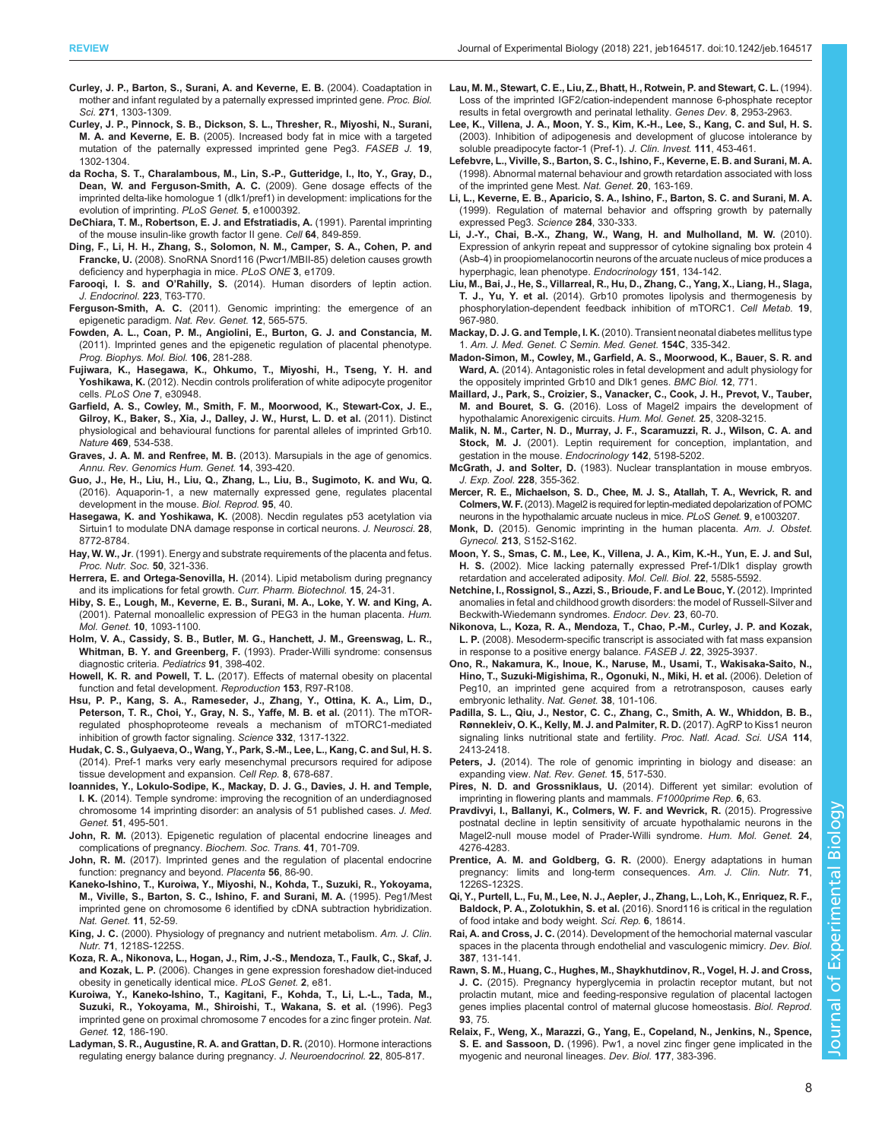- <span id="page-7-0"></span>[Curley, J. P., Barton, S., Surani, A. and Keverne, E. B.](http://dx.doi.org/10.1098/rspb.2004.2725) (2004). Coadaptation in [mother and infant regulated by a paternally expressed imprinted gene.](http://dx.doi.org/10.1098/rspb.2004.2725) Proc. Biol. Sci. 271[, 1303-1309.](http://dx.doi.org/10.1098/rspb.2004.2725)
- [Curley, J. P., Pinnock, S. B., Dickson, S. L., Thresher, R., Miyoshi, N., Surani,](http://dx.doi.org/10.1096/fj.04-3216fje) M. A. and Keverne, E. B. [\(2005\). Increased body fat in mice with a targeted](http://dx.doi.org/10.1096/fj.04-3216fje) [mutation of the paternally expressed imprinted gene Peg3.](http://dx.doi.org/10.1096/fj.04-3216fje) FASEB J. 19, [1302-1304.](http://dx.doi.org/10.1096/fj.04-3216fje)
- [da Rocha, S. T., Charalambous, M., Lin, S.-P., Gutteridge, I., Ito, Y., Gray, D.,](http://dx.doi.org/10.1371/journal.pgen.1000392) [Dean, W. and Ferguson-Smith, A. C.](http://dx.doi.org/10.1371/journal.pgen.1000392) (2009). Gene dosage effects of the [imprinted delta-like homologue 1 \(dlk1/pref1\) in development: implications for the](http://dx.doi.org/10.1371/journal.pgen.1000392) [evolution of imprinting.](http://dx.doi.org/10.1371/journal.pgen.1000392) PLoS Genet. 5, e1000392.
- [DeChiara, T. M., Robertson, E. J. and Efstratiadis, A.](http://dx.doi.org/10.1016/0092-8674(91)90513-X) (1991). Parental imprinting [of the mouse insulin-like growth factor II gene.](http://dx.doi.org/10.1016/0092-8674(91)90513-X) Cell 64, 849-859.
- [Ding, F., Li, H. H., Zhang, S., Solomon, N. M., Camper, S. A., Cohen, P. and](http://dx.doi.org/10.1371/journal.pone.0001709) Francke, U. [\(2008\). SnoRNA Snord116 \(Pwcr1/MBII-85\) deletion causes growth](http://dx.doi.org/10.1371/journal.pone.0001709) [deficiency and hyperphagia in mice.](http://dx.doi.org/10.1371/journal.pone.0001709) PLoS ONE 3, e1709.
- Farooqi, I. S. and O'Rahilly, S. [\(2014\). Human disorders of leptin action.](http://dx.doi.org/10.1530/JOE-14-0480) [J. Endocrinol.](http://dx.doi.org/10.1530/JOE-14-0480) 223, T63-T70.
- Ferguson-Smith, A. C. [\(2011\). Genomic imprinting: the emergence of an](http://dx.doi.org/10.1038/nrg3032) [epigenetic paradigm.](http://dx.doi.org/10.1038/nrg3032) Nat. Rev. Genet. 12, 565-575.
- [Fowden, A. L., Coan, P. M., Angiolini, E., Burton, G. J. and Constancia, M.](http://dx.doi.org/10.1016/j.pbiomolbio.2010.11.005) [\(2011\). Imprinted genes and the epigenetic regulation of placental phenotype.](http://dx.doi.org/10.1016/j.pbiomolbio.2010.11.005) [Prog. Biophys. Mol. Biol.](http://dx.doi.org/10.1016/j.pbiomolbio.2010.11.005) 106, 281-288.
- [Fujiwara, K., Hasegawa, K., Ohkumo, T., Miyoshi, H., Tseng, Y. H. and](http://dx.doi.org/10.1371/journal.pone.0030948) Yoshikawa, K. [\(2012\). Necdin controls proliferation of white adipocyte progenitor](http://dx.doi.org/10.1371/journal.pone.0030948) cells. [PLoS One](http://dx.doi.org/10.1371/journal.pone.0030948) 7, e30948.
- [Garfield, A. S., Cowley, M., Smith, F. M., Moorwood, K., Stewart-Cox, J. E.,](http://dx.doi.org/10.1038/nature09651) [Gilroy, K., Baker, S., Xia, J., Dalley, J. W., Hurst, L. D. et al.](http://dx.doi.org/10.1038/nature09651) (2011). Distinct [physiological and behavioural functions for parental alleles of imprinted Grb10.](http://dx.doi.org/10.1038/nature09651) Nature 469[, 534-538.](http://dx.doi.org/10.1038/nature09651)
- Graves, J. A. M. and Renfree, M. B. [\(2013\). Marsupials in the age of genomics.](http://dx.doi.org/10.1146/annurev-genom-091212-153452) [Annu. Rev. Genomics Hum. Genet.](http://dx.doi.org/10.1146/annurev-genom-091212-153452) 14, 393-420.
- [Guo, J., He, H., Liu, H., Liu, Q., Zhang, L., Liu, B., Sugimoto, K. and Wu, Q.](http://dx.doi.org/10.1095/biolreprod.116.138636) [\(2016\). Aquaporin-1, a new maternally expressed gene, regulates placental](http://dx.doi.org/10.1095/biolreprod.116.138636) [development in the mouse.](http://dx.doi.org/10.1095/biolreprod.116.138636) Biol. Reprod. 95, 40.
- Hasegawa, K. and Yoshikawa, K. [\(2008\). Necdin regulates p53 acetylation via](http://dx.doi.org/10.1523/JNEUROSCI.3052-08.2008) [Sirtuin1 to modulate DNA damage response in cortical neurons.](http://dx.doi.org/10.1523/JNEUROSCI.3052-08.2008) J. Neurosci. 28, [8772-8784.](http://dx.doi.org/10.1523/JNEUROSCI.3052-08.2008)
- Hay, W. W., Jr[. \(1991\). Energy and substrate requirements of the placenta and fetus.](http://dx.doi.org/10.1079/PNS19910042) [Proc. Nutr. Soc.](http://dx.doi.org/10.1079/PNS19910042) 50, 321-336.
- Herrera, E. and Ortega-Senovilla, H. [\(2014\). Lipid metabolism during pregnancy](http://dx.doi.org/10.2174/1389201015666140330192345) [and its implications for fetal growth.](http://dx.doi.org/10.2174/1389201015666140330192345) Curr. Pharm. Biotechnol. 15, 24-31.
- [Hiby, S. E., Lough, M., Keverne, E. B., Surani, M. A., Loke, Y. W. and King, A.](http://dx.doi.org/10.1093/hmg/10.10.1093) [\(2001\). Paternal monoallelic expression of PEG3 in the human placenta.](http://dx.doi.org/10.1093/hmg/10.10.1093) Hum. Mol. Genet. 10[, 1093-1100.](http://dx.doi.org/10.1093/hmg/10.10.1093)
- Holm, V. A., Cassidy, S. B., Butler, M. G., Hanchett, J. M., Greenswag, L. R., Whitman, B. Y. and Greenberg, F. (1993). Prader-Willi syndrome: consensus diagnostic criteria. Pediatrics 91, 398-402.
- Howell, K. R. and Powell, T. L. [\(2017\). Effects of maternal obesity on placental](http://dx.doi.org/10.1530/REP-16-0495) [function and fetal development.](http://dx.doi.org/10.1530/REP-16-0495) Reproduction 153, R97-R108.
- [Hsu, P. P., Kang, S. A., Rameseder, J., Zhang, Y., Ottina, K. A., Lim, D.,](http://dx.doi.org/10.1126/science.1199498) [Peterson, T. R., Choi, Y., Gray, N. S., Yaffe, M. B. et al.](http://dx.doi.org/10.1126/science.1199498) (2011). The mTOR[regulated phosphoproteome reveals a mechanism of mTORC1-mediated](http://dx.doi.org/10.1126/science.1199498) [inhibition of growth factor signaling.](http://dx.doi.org/10.1126/science.1199498) Science 332, 1317-1322.
- [Hudak, C. S., Gulyaeva, O., Wang, Y., Park, S.-M., Lee, L., Kang, C. and Sul, H. S.](http://dx.doi.org/10.1016/j.celrep.2014.06.060) [\(2014\). Pref-1 marks very early mesenchymal precursors required for adipose](http://dx.doi.org/10.1016/j.celrep.2014.06.060) [tissue development and expansion.](http://dx.doi.org/10.1016/j.celrep.2014.06.060) Cell Rep. 8, 678-687.
- [Ioannides, Y., Lokulo-Sodipe, K., Mackay, D. J. G., Davies, J. H. and Temple,](http://dx.doi.org/10.1136/jmedgenet-2014-102396) I. K. [\(2014\). Temple syndrome: improving the recognition of an underdiagnosed](http://dx.doi.org/10.1136/jmedgenet-2014-102396) [chromosome 14 imprinting disorder: an analysis of 51 published cases.](http://dx.doi.org/10.1136/jmedgenet-2014-102396) J. Med. Genet. 51[, 495-501.](http://dx.doi.org/10.1136/jmedgenet-2014-102396)
- John, R. M. [\(2013\). Epigenetic regulation of placental endocrine lineages and](http://dx.doi.org/10.1042/BST20130002) [complications of pregnancy.](http://dx.doi.org/10.1042/BST20130002) Biochem. Soc. Trans. 41, 701-709.
- John, R. M. [\(2017\). Imprinted genes and the regulation of placental endocrine](http://dx.doi.org/10.1016/j.placenta.2017.01.099) [function: pregnancy and beyond.](http://dx.doi.org/10.1016/j.placenta.2017.01.099) Placenta 56, 86-90.
- [Kaneko-Ishino, T., Kuroiwa, Y., Miyoshi, N., Kohda, T., Suzuki, R., Yokoyama,](http://dx.doi.org/10.1038/ng0995-52) [M., Viville, S., Barton, S. C., Ishino, F. and Surani, M. A.](http://dx.doi.org/10.1038/ng0995-52) (1995). Peg1/Mest [imprinted gene on chromosome 6 identified by cDNA subtraction hybridization.](http://dx.doi.org/10.1038/ng0995-52) [Nat. Genet.](http://dx.doi.org/10.1038/ng0995-52) 11, 52-59.
- King, J. C. (2000). Physiology of pregnancy and nutrient metabolism. Am. J. Clin. Nutr. 71, 1218S-1225S.
- [Koza, R. A., Nikonova, L., Hogan, J., Rim, J.-S., Mendoza, T., Faulk, C., Skaf, J.](http://dx.doi.org/10.1371/journal.pgen.0020081) and Kozak, L. P. [\(2006\). Changes in gene expression foreshadow diet-induced](http://dx.doi.org/10.1371/journal.pgen.0020081) [obesity in genetically identical mice.](http://dx.doi.org/10.1371/journal.pgen.0020081) PLoS Genet. 2, e81.
- [Kuroiwa, Y., Kaneko-Ishino, T., Kagitani, F., Kohda, T., Li, L.-L., Tada, M.,](http://dx.doi.org/10.1038/ng0296-186) [Suzuki, R., Yokoyama, M., Shiroishi, T., Wakana, S. et al.](http://dx.doi.org/10.1038/ng0296-186) (1996). Peg3 [imprinted gene on proximal chromosome 7 encodes for a zinc finger protein.](http://dx.doi.org/10.1038/ng0296-186) Nat. Genet. 12[, 186-190.](http://dx.doi.org/10.1038/ng0296-186)
- [Ladyman, S. R., Augustine, R. A. and Grattan, D. R.](http://dx.doi.org/10.1111/j.1365-2826.2010.02017.x) (2010). Hormone interactions [regulating energy balance during pregnancy.](http://dx.doi.org/10.1111/j.1365-2826.2010.02017.x) J. Neuroendocrinol. 22, 805-817.
- [Lau, M. M., Stewart, C. E., Liu, Z., Bhatt, H., Rotwein, P. and Stewart, C. L.](http://dx.doi.org/10.1101/gad.8.24.2953) (1994). [Loss of the imprinted IGF2/cation-independent mannose 6-phosphate receptor](http://dx.doi.org/10.1101/gad.8.24.2953) [results in fetal overgrowth and perinatal lethality.](http://dx.doi.org/10.1101/gad.8.24.2953) Genes Dev. 8, 2953-2963.
- [Lee, K., Villena, J. A., Moon, Y. S., Kim, K.-H., Lee, S., Kang, C. and Sul, H. S.](http://dx.doi.org/10.1172/JCI15924) [\(2003\). Inhibition of adipogenesis and development of glucose intolerance by](http://dx.doi.org/10.1172/JCI15924) [soluble preadipocyte factor-1 \(Pref-1\).](http://dx.doi.org/10.1172/JCI15924) J. Clin. Invest. 111, 453-461.
- [Lefebvre, L., Viville, S., Barton, S. C., Ishino, F., Keverne, E. B. and Surani, M. A.](http://dx.doi.org/10.1038/2464) [\(1998\). Abnormal maternal behaviour and growth retardation associated with loss](http://dx.doi.org/10.1038/2464) [of the imprinted gene Mest.](http://dx.doi.org/10.1038/2464) Nat. Genet. 20, 163-169.
- [Li, L., Keverne, E. B., Aparicio, S. A., Ishino, F., Barton, S. C. and Surani, M. A.](http://dx.doi.org/10.1126/science.284.5412.330) [\(1999\). Regulation of maternal behavior and offspring growth by paternally](http://dx.doi.org/10.1126/science.284.5412.330) [expressed Peg3.](http://dx.doi.org/10.1126/science.284.5412.330) Science 284, 330-333.
- [Li, J.-Y., Chai, B.-X., Zhang, W., Wang, H. and Mulholland, M. W.](http://dx.doi.org/10.1210/en.2009-0560) (2010). [Expression of ankyrin repeat and suppressor of cytokine signaling box protein 4](http://dx.doi.org/10.1210/en.2009-0560) [\(Asb-4\) in proopiomelanocortin neurons of the arcuate nucleus of mice produces a](http://dx.doi.org/10.1210/en.2009-0560) [hyperphagic, lean phenotype.](http://dx.doi.org/10.1210/en.2009-0560) Endocrinology 151, 134-142.
- [Liu, M., Bai, J., He, S., Villarreal, R., Hu, D., Zhang, C., Yang, X., Liang, H., Slaga,](http://dx.doi.org/10.1016/j.cmet.2014.03.018) T. J., Yu, Y. et al. [\(2014\). Grb10 promotes lipolysis and thermogenesis by](http://dx.doi.org/10.1016/j.cmet.2014.03.018) [phosphorylation-dependent feedback inhibition of mTORC1.](http://dx.doi.org/10.1016/j.cmet.2014.03.018) Cell Metab. 19, [967-980.](http://dx.doi.org/10.1016/j.cmet.2014.03.018)
- Mackay, D. J. G. and Temple, I. K. [\(2010\). Transient neonatal diabetes mellitus type](http://dx.doi.org/10.1002/ajmg.c.30272) 1. [Am. J. Med. Genet. C Semin. Med. Genet.](http://dx.doi.org/10.1002/ajmg.c.30272) 154C, 335-342.
- [Madon-Simon, M., Cowley, M., Garfield, A. S., Moorwood, K., Bauer, S. R. and](http://dx.doi.org/10.1186/s12915-014-0099-8) Ward, A. [\(2014\). Antagonistic roles in fetal development and adult physiology for](http://dx.doi.org/10.1186/s12915-014-0099-8) [the oppositely imprinted Grb10 and Dlk1 genes.](http://dx.doi.org/10.1186/s12915-014-0099-8) BMC Biol. 12, 771.
- [Maillard, J., Park, S., Croizier, S., Vanacker, C., Cook, J. H., Prevot, V., Tauber,](http://dx.doi.org/10.1093/hmg/ddw169) M. and Bouret, S. G. [\(2016\). Loss of Magel2 impairs the development of](http://dx.doi.org/10.1093/hmg/ddw169) [hypothalamic Anorexigenic circuits.](http://dx.doi.org/10.1093/hmg/ddw169) Hum. Mol. Genet. 25, 3208-3215.
- [Malik, N. M., Carter, N. D., Murray, J. F., Scaramuzzi, R. J., Wilson, C. A. and](http://dx.doi.org/10.1210/endo.142.12.8535) Stock, M. J. [\(2001\). Leptin requirement for conception, implantation, and](http://dx.doi.org/10.1210/endo.142.12.8535) [gestation in the mouse.](http://dx.doi.org/10.1210/endo.142.12.8535) Endocrinology 142, 5198-5202.
- McGrath, J. and Solter, D. [\(1983\). Nuclear transplantation in mouse embryos.](http://dx.doi.org/10.1002/jez.1402280218) [J. Exp. Zool.](http://dx.doi.org/10.1002/jez.1402280218) 228, 355-362.
- [Mercer, R. E., Michaelson, S. D., Chee, M. J. S., Atallah, T. A., Wevrick, R. and](http://dx.doi.org/10.1371/journal.pgen.1003207) Colmers, W. F.[\(2013\). Magel2 is required for leptin-mediated depolarization of POMC](http://dx.doi.org/10.1371/journal.pgen.1003207) [neurons in the hypothalamic arcuate nucleus in mice.](http://dx.doi.org/10.1371/journal.pgen.1003207) PLoS Genet. 9, e1003207.
- Monk, D. [\(2015\). Genomic imprinting in the human placenta.](http://dx.doi.org/10.1016/j.ajog.2015.06.032) Am. J. Obstet. Gynecol. 213[, S152-S162.](http://dx.doi.org/10.1016/j.ajog.2015.06.032)
- [Moon, Y. S., Smas, C. M., Lee, K., Villena, J. A., Kim, K.-H., Yun, E. J. and Sul,](http://dx.doi.org/10.1128/MCB.22.15.5585-5592.2002) H. S. [\(2002\). Mice lacking paternally expressed Pref-1/Dlk1 display growth](http://dx.doi.org/10.1128/MCB.22.15.5585-5592.2002) [retardation and accelerated adiposity.](http://dx.doi.org/10.1128/MCB.22.15.5585-5592.2002) Mol. Cell. Biol. 22, 5585-5592.
- [Netchine, I., Rossignol, S., Azzi, S., Brioude, F. and Le Bouc, Y.](http://dx.doi.org/10.1159/000341750) (2012). Imprinted [anomalies in fetal and childhood growth disorders: the model of Russell-Silver and](http://dx.doi.org/10.1159/000341750) [Beckwith-Wiedemann syndromes.](http://dx.doi.org/10.1159/000341750) Endocr. Dev. 23, 60-70.
- [Nikonova, L., Koza, R. A., Mendoza, T., Chao, P.-M., Curley, J. P. and Kozak,](http://dx.doi.org/10.1096/fj.08-108266) L. P. [\(2008\). Mesoderm-specific transcript is associated with fat mass expansion](http://dx.doi.org/10.1096/fj.08-108266) [in response to a positive energy balance.](http://dx.doi.org/10.1096/fj.08-108266) FASEB J. 22, 3925-3937.
- [Ono, R., Nakamura, K., Inoue, K., Naruse, M., Usami, T., Wakisaka-Saito, N.,](http://dx.doi.org/10.1038/ng1699) [Hino, T., Suzuki-Migishima, R., Ogonuki, N., Miki, H. et al.](http://dx.doi.org/10.1038/ng1699) (2006). Deletion of [Peg10, an imprinted gene acquired from a retrotransposon, causes early](http://dx.doi.org/10.1038/ng1699) [embryonic lethality.](http://dx.doi.org/10.1038/ng1699) Nat. Genet. 38, 101-106.
- [Padilla, S. L., Qiu, J., Nestor, C. C., Zhang, C., Smith, A. W., Whiddon, B. B.,](http://dx.doi.org/10.1073/pnas.1621065114) [Rønnekleiv, O. K., Kelly, M. J. and Palmiter, R. D.](http://dx.doi.org/10.1073/pnas.1621065114) (2017). AgRP to Kiss1 neuron [signaling links nutritional state and fertility.](http://dx.doi.org/10.1073/pnas.1621065114) Proc. Natl. Acad. Sci. USA 114, [2413-2418.](http://dx.doi.org/10.1073/pnas.1621065114)
- Peters, J. [\(2014\). The role of genomic imprinting in biology and disease: an](http://dx.doi.org/10.1038/nrg3766) expanding view. [Nat. Rev. Genet.](http://dx.doi.org/10.1038/nrg3766) 15, 517-530.
- Pires, N. D. and Grossniklaus, U. [\(2014\). Different yet similar: evolution of](http://dx.doi.org/10.12703/P6-63) [imprinting in flowering plants and mammals.](http://dx.doi.org/10.12703/P6-63) F1000prime Rep. 6, 63.
- [Pravdivyi, I., Ballanyi, K., Colmers, W. F. and Wevrick, R.](http://dx.doi.org/10.1093/hmg/ddv159) (2015). Progressive [postnatal decline in leptin sensitivity of arcuate hypothalamic neurons in the](http://dx.doi.org/10.1093/hmg/ddv159) [Magel2-null mouse model of Prader-Willi syndrome.](http://dx.doi.org/10.1093/hmg/ddv159) Hum. Mol. Genet. 24, [4276-4283.](http://dx.doi.org/10.1093/hmg/ddv159)
- Prentice, A. M. and Goldberg, G. R. (2000). Energy adaptations in human pregnancy: limits and long-term consequences. Am. J. Clin. Nutr. 71, 1226S-1232S.
- [Qi, Y., Purtell, L., Fu, M., Lee, N. J., Aepler, J., Zhang, L., Loh, K., Enriquez, R. F.,](http://dx.doi.org/10.1038/srep18614) Baldock, P. A., Zolotukhin, S. et al. [\(2016\). Snord116 is critical in the regulation](http://dx.doi.org/10.1038/srep18614) [of food intake and body weight.](http://dx.doi.org/10.1038/srep18614) Sci. Rep. 6, 18614.
- Rai, A. and Cross, J. C. [\(2014\). Development of the hemochorial maternal vascular](http://dx.doi.org/10.1016/j.ydbio.2014.01.015) [spaces in the placenta through endothelial and vasculogenic mimicry.](http://dx.doi.org/10.1016/j.ydbio.2014.01.015) Dev. Biol. 387[, 131-141.](http://dx.doi.org/10.1016/j.ydbio.2014.01.015)
- [Rawn, S. M., Huang, C., Hughes, M., Shaykhutdinov, R., Vogel, H. J. and Cross,](http://dx.doi.org/10.1095/biolreprod.115.132431) J. C. [\(2015\). Pregnancy hyperglycemia in prolactin receptor mutant, but not](http://dx.doi.org/10.1095/biolreprod.115.132431) [prolactin mutant, mice and feeding-responsive regulation of placental lactogen](http://dx.doi.org/10.1095/biolreprod.115.132431) [genes implies placental control of maternal glucose homeostasis.](http://dx.doi.org/10.1095/biolreprod.115.132431) Biol. Reprod. 93[, 75.](http://dx.doi.org/10.1095/biolreprod.115.132431)
- [Relaix, F., Weng, X., Marazzi, G., Yang, E., Copeland, N., Jenkins, N., Spence,](http://dx.doi.org/10.1006/dbio.1996.0172) S. E. and Sassoon, D. [\(1996\). Pw1, a novel zinc finger gene implicated in the](http://dx.doi.org/10.1006/dbio.1996.0172) [myogenic and neuronal lineages.](http://dx.doi.org/10.1006/dbio.1996.0172) Dev. Biol. 177, 383-396.